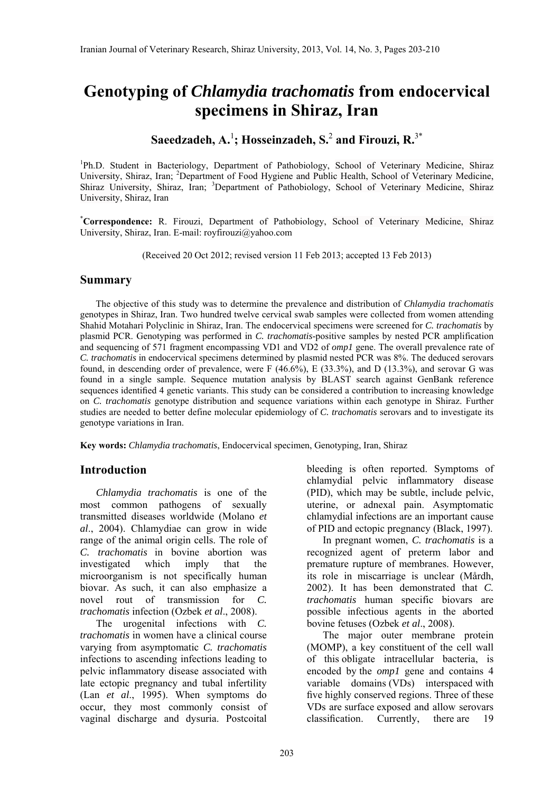# **Genotyping of** *Chlamydia trachomatis* **from endocervical specimens in Shiraz, Iran**

**Saeedzadeh, A.**<sup>1</sup> **; Hosseinzadeh, S.**<sup>2</sup>  **and Firouzi, R.**3\*

<sup>1</sup>Ph.D. Student in Bacteriology, Department of Pathobiology, School of Veterinary Medicine, Shiraz University, Shiraz, Iran; <sup>2</sup>Department of Food Hygiene and Public Health, School of Veterinary Medicine, Shiraz University, Shiraz, Iran; <sup>3</sup>Department of Pathobiology, School of Veterinary Medicine, Shiraz University, Shiraz, Iran

\* **Correspondence:** R. Firouzi, Department of Pathobiology, School of Veterinary Medicine, Shiraz University, Shiraz, Iran. E-mail: royfirouzi@yahoo.com

(Received 20 Oct 2012; revised version 11 Feb 2013; accepted 13 Feb 2013)

#### **Summary**

 The objective of this study was to determine the prevalence and distribution of *Chlamydia trachomatis* genotypes in Shiraz, Iran. Two hundred twelve cervical swab samples were collected from women attending Shahid Motahari Polyclinic in Shiraz, Iran. The endocervical specimens were screened for *C. trachomatis* by plasmid PCR. Genotyping was performed in *C. trachomatis*-positive samples by nested PCR amplification and sequencing of 571 fragment encompassing VD1 and VD2 of *omp1* gene. The overall prevalence rate of *C. trachomatis* in endocervical specimens determined by plasmid nested PCR was 8%. The deduced serovars found, in descending order of prevalence, were  $F(46.6\%)$ ,  $E(33.3\%)$ , and  $D(13.3\%)$ , and serovar G was found in a single sample. Sequence mutation analysis by BLAST search against GenBank reference sequences identified 4 genetic variants. This study can be considered a contribution to increasing knowledge on *C. trachomatis* genotype distribution and sequence variations within each genotype in Shiraz. Further studies are needed to better define molecular epidemiology of *C. trachomatis* serovars and to investigate its genotype variations in Iran.

**Key words:** *Chlamydia trachomatis*, Endocervical specimen, Genotyping, Iran, Shiraz

## **Introduction**

 *Chlamydia trachomatis* is one of the most common pathogens of sexually transmitted diseases worldwide (Molano *et al*., 2004). Chlamydiae can grow in wide range of the animal origin cells. The role of *C. trachomatis* in bovine abortion was investigated which imply that the microorganism is not specifically human biovar. As such, it can also emphasize a novel rout of transmission for *C. trachomatis* infection (Ozbek *et al*., 2008).

 The urogenital infections with *C. trachomatis* in women have a clinical course varying from asymptomatic *C. trachomatis*  infections to ascending infections leading to pelvic inflammatory disease associated with late ectopic pregnancy and tubal infertility (Lan *et al*., 1995). When symptoms do occur, they most commonly consist of vaginal discharge and dysuria. Postcoital bleeding is often reported. Symptoms of chlamydial pelvic inflammatory disease (PID), which may be subtle, include pelvic, uterine, or adnexal pain. Asymptomatic chlamydial infections are an important cause of PID and ectopic pregnancy (Black, 1997).

 In pregnant women, *C. trachomatis* is a recognized agent of preterm labor and premature rupture of membranes. However, its role in miscarriage is unclear (Mårdh, 2002). It has been demonstrated that *C. trachomatis* human specific biovars are possible infectious agents in the aborted bovine fetuses (Ozbek *et al*., 2008).

 The major outer membrane protein (MOMP), a key constituent of the cell wall of this obligate intracellular bacteria, is encoded by the *omp1* gene and contains 4 variable domains (VDs) interspaced with five highly conserved regions. Three of these VDs are surface exposed and allow serovars classification. Currently, there are 19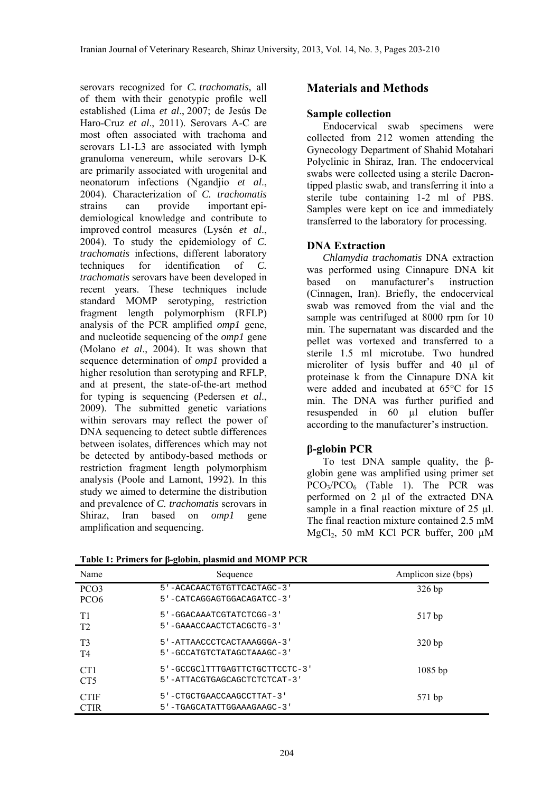serovars recognized for *C. trachomatis*, all of them with their genotypic profile well established (Lima *et al*., 2007; de Jesús De Haro-Cruz *et al*., 2011). Serovars A-C are most often associated with trachoma and serovars L1-L3 are associated with lymph granuloma venereum, while serovars D-K are primarily associated with urogenital and neonatorum infections (Ngandjio *et al*., 2004). Characterization of *C. trachomatis*  strains can provide important epidemiological knowledge and contribute to improved control measures (Lysén *et al*., 2004). To study the epidemiology of *C. trachomatis* infections, different laboratory techniques for identification of *C. trachomatis* serovars have been developed in recent years. These techniques include standard MOMP serotyping, restriction fragment length polymorphism (RFLP) analysis of the PCR amplified *omp1* gene, and nucleotide sequencing of the *omp1* gene (Molano *et al*., 2004). It was shown that sequence determination of *omp1* provided a higher resolution than serotyping and RFLP, and at present, the state-of-the-art method for typing is sequencing (Pedersen *et al*., 2009). The submitted genetic variations within serovars may reflect the power of DNA sequencing to detect subtle differences between isolates, differences which may not be detected by antibody-based methods or restriction fragment length polymorphism analysis (Poole and Lamont, 1992). In this study we aimed to determine the distribution and prevalence of *C. trachomatis* serovars in Shiraz, Iran based on *omp1* gene amplification and sequencing.

## **Materials and Methods**

#### **Sample collection**

 Endocervical swab specimens were collected from 212 women attending the Gynecology Department of Shahid Motahari Polyclinic in Shiraz, Iran. The endocervical swabs were collected using a sterile Dacrontipped plastic swab, and transferring it into a sterile tube containing 1-2 ml of PBS. Samples were kept on ice and immediately transferred to the laboratory for processing.

#### **DNA Extraction**

 *Chlamydia trachomatis* DNA extraction was performed using Cinnapure DNA kit based on manufacturer's instruction (Cinnagen, Iran). Briefly, the endocervical swab was removed from the vial and the sample was centrifuged at 8000 rpm for 10 min. The supernatant was discarded and the pellet was vortexed and transferred to a sterile 1.5 ml microtube. Two hundred microliter of lysis buffer and 40 µl of proteinase k from the Cinnapure DNA kit were added and incubated at 65°C for 15 min. The DNA was further purified and resuspended in 60 µl elution buffer according to the manufacturer's instruction.

#### **β-globin PCR**

 To test DNA sample quality, the βglobin gene was amplified using primer set PCO<sub>3</sub>/PCO<sub>6</sub> (Table 1). The PCR was performed on 2 µl of the extracted DNA sample in a final reaction mixture of 25  $\mu$ l. The final reaction mixture contained 2.5 mM MgCl<sub>2</sub>, 50 mM KCl PCR buffer, 200  $\mu$ M

**Table 1: Primers for β-globin, plasmid and MOMP PCR** 

| Name                                 | Sequence                                                       | Amplicon size (bps) |
|--------------------------------------|----------------------------------------------------------------|---------------------|
| PCO <sub>3</sub><br>PC <sub>O6</sub> | 5'-ACACAACTGTGTTCACTAGC-3'<br>5'-CATCAGGAGTGGACAGATCC-3'       | 326bp               |
| T1<br>T <sub>2</sub>                 | 5'-GGACAAATCGTATCTCGG-3'<br>5'-GAAACCAACTCTACGCTG-3'           | 517 bp              |
| T <sub>3</sub><br>T4                 | 5'-ATTAACCCTCACTAAAGGGA-3'<br>5'-GCCATGTCTATAGCTAAAGC-3'       | 320bp               |
| CT <sub>1</sub><br>CT <sub>5</sub>   | 5'-GCCGClTTTGAGTTCTGCTTCCTC-3'<br>5'-ATTACGTGAGCAGCTCTCTCAT-3' | $1085$ bp           |
| <b>CTIF</b><br><b>CTIR</b>           | 5'-CTGCTGAACCAAGCCTTAT-3'<br>5'-TGAGCATATTGGAAAGAAGC-3'        | 571 bp              |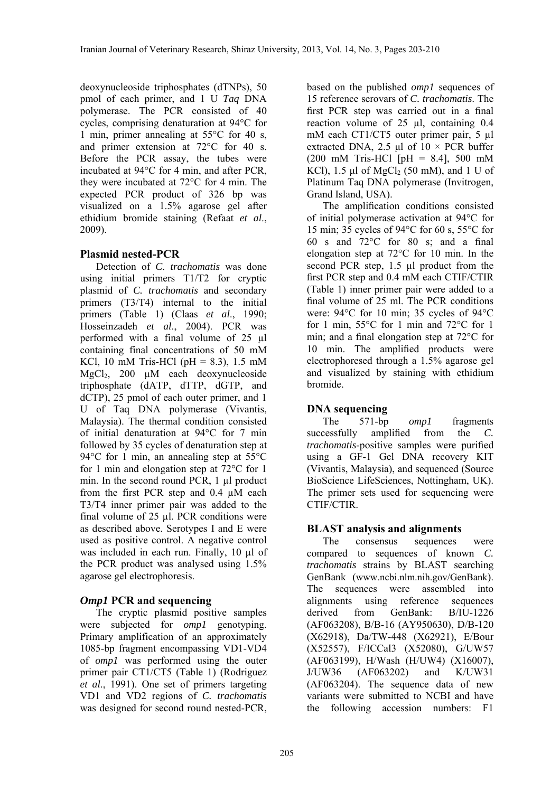deoxynucleoside triphosphates (dTNPs), 50 pmol of each primer, and 1 U *Taq* DNA polymerase. The PCR consisted of 40 cycles, comprising denaturation at 94°C for 1 min, primer annealing at 55°C for 40 s, and primer extension at 72°C for 40 s. Before the PCR assay, the tubes were incubated at 94°C for 4 min, and after PCR, they were incubated at 72°C for 4 min. The expected PCR product of 326 bp was visualized on a 1.5% agarose gel after ethidium bromide staining (Refaat *et al*., 2009).

#### **Plasmid nested-PCR**

 Detection of *C. trachomatis* was done using initial primers T1/T2 for cryptic plasmid of *C. trachomatis* and secondary primers (T3/T4) internal to the initial primers (Table 1) (Claas *et al*., 1990; Hosseinzadeh *et al*., 2004). PCR was performed with a final volume of 25 µl containing final concentrations of 50 mM KCl, 10 mM Tris-HCl ( $pH = 8.3$ ), 1.5 mM  $MgCl<sub>2</sub>$ , 200 µM each deoxynucleoside triphosphate (dATP, dTTP, dGTP, and dCTP), 25 pmol of each outer primer, and 1 U of Taq DNA polymerase (Vivantis, Malaysia). The thermal condition consisted of initial denaturation at 94°C for 7 min followed by 35 cycles of denaturation step at 94°C for 1 min, an annealing step at 55°C for 1 min and elongation step at 72°C for 1 min. In the second round PCR, 1 µl product from the first PCR step and 0.4 µM each T3/T4 inner primer pair was added to the final volume of 25 µl. PCR conditions were as described above. Serotypes I and E were used as positive control. A negative control was included in each run. Finally, 10 µl of the PCR product was analysed using 1.5% agarose gel electrophoresis.

## *Omp1* **PCR and sequencing**

 The cryptic plasmid positive samples were subjected for *omp1* genotyping. Primary amplification of an approximately 1085-bp fragment encompassing VD1-VD4 of *omp1* was performed using the outer primer pair CT1/CT5 (Table 1) (Rodriguez *et al*., 1991). One set of primers targeting VD1 and VD2 regions of *C. trachomatis* was designed for second round nested-PCR, based on the published *omp1* sequences of 15 reference serovars of *C. trachomatis*. The first PCR step was carried out in a final reaction volume of 25 µl, containing 0.4 mM each CT1/CT5 outer primer pair, 5 µl extracted DNA, 2.5 µl of  $10 \times PCR$  buffer (200 mM Tris-HCl  $[PH = 8.4]$ , 500 mM KCl),  $1.5 \mu l$  of MgCl<sub>2</sub> (50 mM), and 1 U of Platinum Taq DNA polymerase (Invitrogen, Grand Island, USA).

 The amplification conditions consisted of initial polymerase activation at 94°C for 15 min; 35 cycles of 94°C for 60 s, 55°C for 60 s and 72°C for 80 s; and a final elongation step at 72°C for 10 min. In the second PCR step, 1.5 µl product from the first PCR step and 0.4 mM each CTIF/CTIR (Table 1) inner primer pair were added to a final volume of 25 ml. The PCR conditions were: 94°C for 10 min; 35 cycles of 94°C for 1 min, 55°C for 1 min and 72°C for 1 min; and a final elongation step at 72°C for 10 min. The amplified products were electrophoresed through a 1.5% agarose gel and visualized by staining with ethidium bromide.

## **DNA sequencing**

 The 571-bp *omp1* fragments successfully amplified from the *C*. *trachomatis*-positive samples were purified using a GF-1 Gel DNA recovery KIT (Vivantis, Malaysia), and sequenced (Source BioScience LifeSciences, Nottingham, UK). The primer sets used for sequencing were CTIF/CTIR.

#### **BLAST analysis and alignments**

 The consensus sequences were compared to sequences of known *C. trachomatis* strains by BLAST searching GenBank (www.ncbi.nlm.nih.gov/GenBank). The sequences were assembled into alignments using reference sequences derived from GenBank: B/IU-1226 (AF063208), B/B-16 (AY950630), D/B-120 (X62918), Da/TW-448 (X62921), E/Bour (X52557), F/ICCal3 (X52080), G/UW57 (AF063199), H/Wash (H/UW4) (X16007), J/UW36 (AF063202) and K/UW31 (AF063204). The sequence data of new variants were submitted to NCBI and have the following accession numbers: F1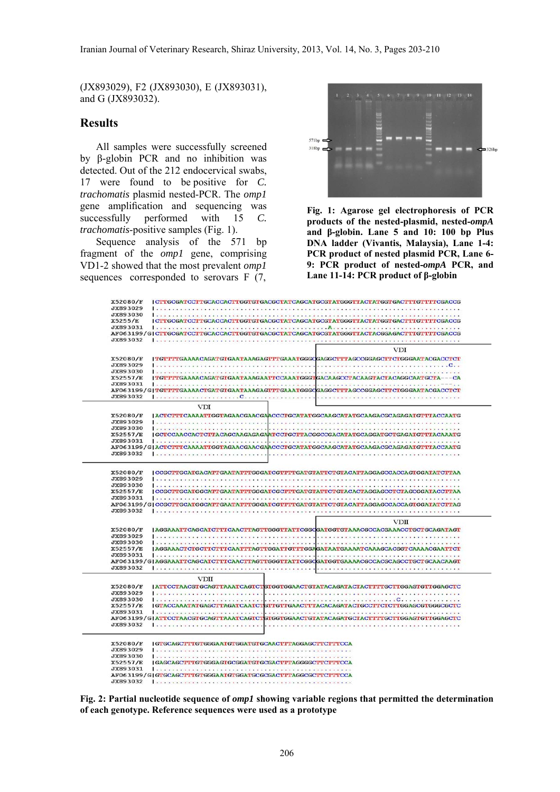(JX893029), F2 (JX893030), E (JX893031), and G (JX893032).

#### **Results**

 All samples were successfully screened by β-globin PCR and no inhibition was detected. Out of the 212 endocervical swabs, 17 were found to be positive for *C. trachomatis* plasmid nested-PCR. The *omp1* gene amplification and sequencing was successfully performed with 15 *C. trachomatis*-positive samples (Fig. 1).

 Sequence analysis of the 571 bp fragment of the *omp1* gene, comprising VD1-2 showed that the most prevalent *omp1* sequences corresponded to serovars F (7,



**Fig. 1: Agarose gel electrophoresis of PCR products of the nested-plasmid, nested-***ompA* **and β-globin. Lane 5 and 10: 100 bp Plus DNA ladder (Vivantis, Malaysia), Lane 1-4: PCR product of nested plasmid PCR, Lane 6- 9: PCR product of nested-***ompA* **PCR, and Lane 11-14: PCR product of β-globin** 

| X52080/F<br>  CTTGCGATCCTTGCACCACTTGGTGTGACGCTATCAGCATGCGTATGGGTTACTATGGTGACTTTGTTTCGACCG                                                                                                              |  |
|--------------------------------------------------------------------------------------------------------------------------------------------------------------------------------------------------------|--|
| JX893029                                                                                                                                                                                               |  |
| JX893030                                                                                                                                                                                               |  |
| I CTTGCGATCCTTGCACCACTTGGTGTGACGCTATCAGCATGCGTATGGGTTACTATGGTGACTTTGTTTCGACCG<br>X5255/E                                                                                                               |  |
| JX893031                                                                                                                                                                                               |  |
| AF063199/GICTTGCGATCCTTGCACCACTTGGTGTGACGCTATCAGCATGCGTATGGGTTACTACGGAGACTTTGTTTTCGACCG                                                                                                                |  |
| JX893032                                                                                                                                                                                               |  |
|                                                                                                                                                                                                        |  |
| <b>VDI</b>                                                                                                                                                                                             |  |
| TGTTTTGAAAACAGATGTGAATAAAGAGTTTGAAATGGGQGAGGCTTTAGCCGGAGCTTCTGGGAATACGACCTCT<br>X52080/F                                                                                                               |  |
| JX893029                                                                                                                                                                                               |  |
| JX893030                                                                                                                                                                                               |  |
| X52557/E<br>ITGTTTTGAAAACAGATGTGAATAAAGAATTCCAAATGGGTGACAAGCCTACAAGTACTACAGGCAATGCTA --- CA                                                                                                            |  |
| JX893031                                                                                                                                                                                               |  |
| AF063199/G TGTTTTGAAAACTGATGTGAATAAAGAGTTTGAAATGGGCGAGGCTTTAGCCGGAGCTTCTGGGAATACGACCTCT                                                                                                                |  |
| JX893032                                                                                                                                                                                               |  |
|                                                                                                                                                                                                        |  |
| <b>VDI</b>                                                                                                                                                                                             |  |
| ACTCTTTCAAAATTGGTAGAACGAACGAACCCTGCATATGGCAAGCATATGCAAGACGCAGAGATGTTTACCAATG<br>X52080/F                                                                                                               |  |
| JX893029                                                                                                                                                                                               |  |
| JX893030<br>para la la comuna nacional a consu-<br><b><i><u>Printed Contracts</u></i></b><br>.<br>temporaria de la calibración de la calibración de la calibración de la calibración de la calibración |  |
| X52557/E<br>IGCTCCAACCACTCTTACAGCAAGAGAGAATCCTGCTTACGGCCGACATATGCAGGATGCTGAGATGTTTACAAATG                                                                                                              |  |
| JX893031                                                                                                                                                                                               |  |
| AF063199/GIACTCTTTCAAAATTGGTAGAACGAACGAACCCTGCATATGGCAAGCATATGCAAGACGCAGAGATGTTTACCAATG                                                                                                                |  |
| JX893032                                                                                                                                                                                               |  |
|                                                                                                                                                                                                        |  |
|                                                                                                                                                                                                        |  |
| X52080/F<br>  CCGCTTGCATGACATTGAATATTTGGGATCGTTTTGATGTATTCTGTACATTAGGAGCCACCAGTGGATATCTTAA                                                                                                             |  |
| JX893029                                                                                                                                                                                               |  |
| JX893030                                                                                                                                                                                               |  |
| X52557/E<br>I CCGCTTGCATGGCATTGAATATTTGGGATCGCTTTGATGTATTCTGTACACTAGGAGCCTCTAGCGGATACCTTAA                                                                                                             |  |
| JX893031                                                                                                                                                                                               |  |
| AF063199/GICCGCTTGCATGGCATTGAATATTTGGGATCGTTTTGATGTATTCTGTACATTAGGAGCCACCAGTGGATATCTTAG                                                                                                                |  |
| JX893032                                                                                                                                                                                               |  |
|                                                                                                                                                                                                        |  |
| VDII                                                                                                                                                                                                   |  |
| X52080/F<br>  AGGAAATTCAGCATCTTTCAACTTAGTTGGGTTATTCGGCGATGGTGTAAACGCCACGAAACCTGCTGCAGATAGT                                                                                                             |  |
| JX893029                                                                                                                                                                                               |  |
| JX893030<br>.                                                                                                                                                                                          |  |
| X52557/E<br>  AGGAAACTCTGCTTCTTTCAATTTAGTTGGATTGTTTGGAGATAATGAAAATCAAAGCACGGTCAAAACGAATTCT                                                                                                             |  |
| JX893031                                                                                                                                                                                               |  |
| AF063199/G AGGAAATTCAGCATCTTTCAACTTAGTTGGGTTATTCGGQGATGGTGAAAACGCCACGCAGCCTGCTGCAACAAGT                                                                                                                |  |
| JX893032<br><b></b>                                                                                                                                                                                    |  |
|                                                                                                                                                                                                        |  |
| <b>VDII</b>                                                                                                                                                                                            |  |
| X52080/F<br>  ATTCCTAACGTGCAGTTAAATCAGTCTGTGGTGGAACTGTATACAGATACTACTTTTGCTTGGAGTGTTGGAGCTC                                                                                                             |  |
| JX893029                                                                                                                                                                                               |  |
| JX893030                                                                                                                                                                                               |  |
| X52557/E<br>  GTACCAAATATGAGCTTAGATCAATCTGTTGTTGAACTTTACACAGATACTGCCTTCTCTTGGAGCGTGGGCGCTC                                                                                                             |  |
| JX893031                                                                                                                                                                                               |  |
| AF063199/G ATTCCTAACGTGCAGTTAAATCAGTCTGTGGTGGAACTGTATACAGATGCTACTTTTGCTTGGAGTGTTGGAGCTC                                                                                                                |  |
| JX893032<br><b><i></i></b>                                                                                                                                                                             |  |
|                                                                                                                                                                                                        |  |
|                                                                                                                                                                                                        |  |
| X52080/F<br>  GTGCAGCTTTGTGGGAATGTGGATGTGCAACTTTAGGAGCTTCTTTCCA                                                                                                                                        |  |
| JX893029                                                                                                                                                                                               |  |
| JX893030                                                                                                                                                                                               |  |
| X52557/E<br>I GAGCAGCTTTGTGGGAGTGCGGATGTGCGACTTTAGGGGCTTCTTTCCA                                                                                                                                        |  |
| JX893031                                                                                                                                                                                               |  |
| AF063199/G GIGCAGCTTTGTGGGAATGTGGATGCGCGACTTTAGGCGCTTCTTTCCA                                                                                                                                           |  |
| JX893032                                                                                                                                                                                               |  |

**Fig. 2: Partial nucleotide sequence of** *omp1* **showing variable regions that permitted the determination of each genotype. Reference sequences were used as a prototype**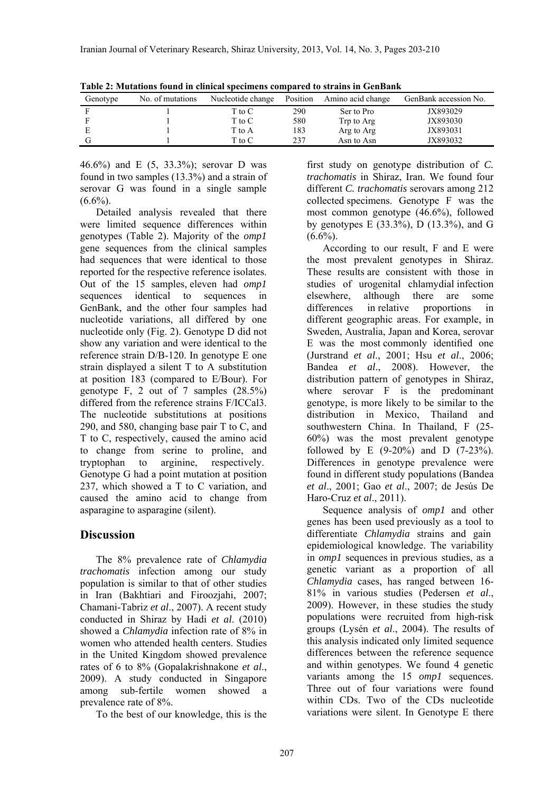| Genotype | No. of mutations | Nucleotide change | Position | Amino acid change | GenBank accession No. |
|----------|------------------|-------------------|----------|-------------------|-----------------------|
|          |                  | T to C            | 290      | Ser to Pro        | JX893029              |
|          |                  | T to C            | 580      | Trp to Arg        | JX893030              |
|          |                  | T to A            | 183      | Arg to Arg        | JX893031              |
|          |                  | T to C            | 237      | Asn to Asn        | JX893032              |

**Table 2: Mutations found in clinical specimens compared to strains in GenBank** 

46.6%) and E (5, 33.3%); serovar D was found in two samples (13.3%) and a strain of serovar G was found in a single sample  $(6.6\%)$ .

 Detailed analysis revealed that there were limited sequence differences within genotypes (Table 2). Majority of the *omp1* gene sequences from the clinical samples had sequences that were identical to those reported for the respective reference isolates. Out of the 15 samples, eleven had *omp1* sequences identical to sequences in GenBank, and the other four samples had nucleotide variations, all differed by one nucleotide only (Fig. 2). Genotype D did not show any variation and were identical to the reference strain D/B-120. In genotype E one strain displayed a silent T to A substitution at position 183 (compared to E/Bour). For genotype F, 2 out of 7 samples (28.5%) differed from the reference strains F/ICCal3. The nucleotide substitutions at positions 290, and 580, changing base pair T to C, and T to C, respectively, caused the amino acid to change from serine to proline, and tryptophan to arginine, respectively. Genotype G had a point mutation at position 237, which showed a T to C variation, and caused the amino acid to change from asparagine to asparagine (silent).

## **Discussion**

 The 8% prevalence rate of *Chlamydia trachomatis* infection among our study population is similar to that of other studies in Iran (Bakhtiari and Firoozjahi, 2007; Chamani-Tabriz *et al*., 2007). A recent study conducted in Shiraz by Hadi *et al*. (2010) showed a *Chlamydia* infection rate of 8% in women who attended health centers. Studies in the United Kingdom showed prevalence rates of 6 to 8% (Gopalakrishnakone *et al*., 2009). A study conducted in Singapore among sub-fertile women showed a prevalence rate of 8%.

To the best of our knowledge, this is the

first study on genotype distribution of *C. trachomatis* in Shiraz, Iran. We found four different *C. trachomatis* serovars among 212 collected specimens. Genotype F was the most common genotype (46.6%), followed by genotypes E  $(33.3\%)$ , D  $(13.3\%)$ , and G  $(6.6\%)$ .

 According to our result, F and E were the most prevalent genotypes in Shiraz. These results are consistent with those in studies of urogenital chlamydial infection elsewhere, although there are some differences in relative proportions in different geographic areas. For example, in Sweden, Australia, Japan and Korea, serovar E was the most commonly identified one (Jurstrand *et al*., 2001; Hsu *et al*., 2006; Bandea *et al*., 2008). However, the distribution pattern of genotypes in Shiraz, where serovar F is the predominant genotype, is more likely to be similar to the distribution in Mexico, Thailand and southwestern China. In Thailand, F (25- 60%) was the most prevalent genotype followed by E  $(9-20\%)$  and D  $(7-23\%)$ . Differences in genotype prevalence were found in different study populations (Bandea *et al*., 2001; Gao *et al*., 2007; de Jesús De Haro-Cruz *et al*., 2011).

 Sequence analysis of *omp1* and other genes has been used previously as a tool to differentiate *Chlamydia* strains and gain epidemiological knowledge. The variability in *omp1* sequences in previous studies, as a genetic variant as a proportion of all *Chlamydia* cases, has ranged between 16- 81% in various studies (Pedersen *et al*., 2009). However, in these studies the study populations were recruited from high-risk groups (Lysén *et al*., 2004). The results of this analysis indicated only limited sequence differences between the reference sequence and within genotypes. We found 4 genetic variants among the 15 *omp1* sequences. Three out of four variations were found within CDs. Two of the CDs nucleotide variations were silent. In Genotype E there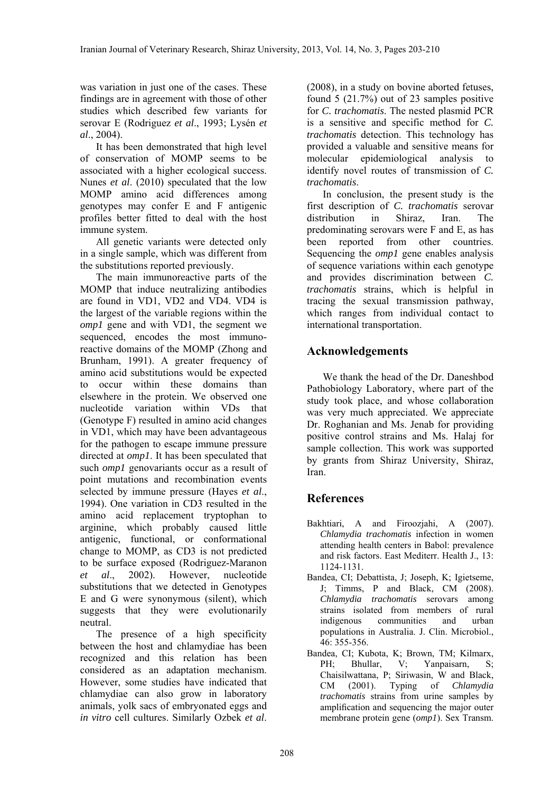was variation in just one of the cases. These findings are in agreement with those of other studies which described few variants for serovar E (Rodriguez *et al*., 1993; Lysén *et al*., 2004).

 It has been demonstrated that high level of conservation of MOMP seems to be associated with a higher ecological success. Nunes *et al*. (2010) speculated that the low MOMP amino acid differences among genotypes may confer E and F antigenic profiles better fitted to deal with the host immune system.

 All genetic variants were detected only in a single sample, which was different from the substitutions reported previously.

 The main immunoreactive parts of the MOMP that induce neutralizing antibodies are found in VD1, VD2 and VD4. VD4 is the largest of the variable regions within the *omp1* gene and with VD1, the segment we sequenced, encodes the most immunoreactive domains of the MOMP (Zhong and Brunham, 1991). A greater frequency of amino acid substitutions would be expected to occur within these domains than elsewhere in the protein. We observed one nucleotide variation within VDs that (Genotype F) resulted in amino acid changes in VD1, which may have been advantageous for the pathogen to escape immune pressure directed at *omp1*. It has been speculated that such *omp1* genovariants occur as a result of point mutations and recombination events selected by immune pressure (Hayes *et al*., 1994). One variation in CD3 resulted in the amino acid replacement tryptophan to arginine, which probably caused little antigenic, functional, or conformational change to MOMP, as CD3 is not predicted to be surface exposed (Rodriguez-Maranon *et al*., 2002). However, nucleotide substitutions that we detected in Genotypes E and G were synonymous (silent), which suggests that they were evolutionarily neutral.

 The presence of a high specificity between the host and chlamydiae has been recognized and this relation has been considered as an adaptation mechanism. However, some studies have indicated that chlamydiae can also grow in laboratory animals, yolk sacs of embryonated eggs and *in vitro* cell cultures. Similarly Ozbek *et al*.

(2008), in a study on bovine aborted fetuses, found 5 (21.7%) out of 23 samples positive for *C. trachomatis*. The nested plasmid PCR is a sensitive and specific method for *C. trachomatis* detection. This technology has provided a valuable and sensitive means for molecular epidemiological analysis to identify novel routes of transmission of *C. trachomatis*.

 In conclusion, the present study is the first description of *C. trachomatis* serovar distribution in Shiraz, Iran. The predominating serovars were F and E, as has been reported from other countries. Sequencing the *omp1* gene enables analysis of sequence variations within each genotype and provides discrimination between *C. trachomatis* strains, which is helpful in tracing the sexual transmission pathway, which ranges from individual contact to international transportation.

## **Acknowledgements**

 We thank the head of the Dr. Daneshbod Pathobiology Laboratory, where part of the study took place, and whose collaboration was very much appreciated. We appreciate Dr. Roghanian and Ms. Jenab for providing positive control strains and Ms. Halaj for sample collection. This work was supported by grants from Shiraz University, Shiraz, Iran.

## **References**

- Bakhtiari, A and Firoozjahi, A (2007). *Chlamydia trachomatis* infection in women attending health centers in Babol: prevalence and risk factors. East Mediterr. Health J., 13: 1124-1131.
- Bandea, CI; Debattista, J; Joseph, K; Igietseme, J; Timms, P and Black, CM (2008). *Chlamydia trachomatis* serovars among strains isolated from members of rural indigenous communities and urban populations in Australia. J. Clin. Microbiol., 46: 355-356.
- Bandea, CI; Kubota, K; Brown, TM; Kilmarx, PH; Bhullar, V; Yanpaisarn, S; Chaisilwattana, P; Siriwasin, W and Black, CM (2001). Typing of *Chlamydia trachomatis* strains from urine samples by amplification and sequencing the major outer membrane protein gene (*omp1*). Sex Transm.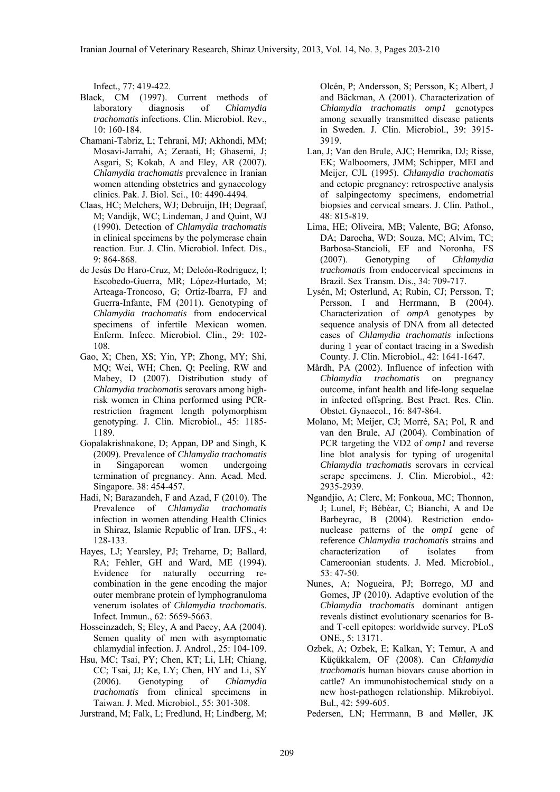Infect., 77: 419-422.

- Black, CM (1997). Current methods of laboratory diagnosis of *Chlamydia trachomatis* infections. Clin. Microbiol. Rev., 10: 160-184.
- Chamani-Tabriz, L; Tehrani, MJ; Akhondi, MM; Mosavi-Jarrahi, A; Zeraati, H; Ghasemi, J; Asgari, S; Kokab, A and Eley, AR (2007). *Chlamydia trachomatis* prevalence in Iranian women attending obstetrics and gynaecology clinics. Pak. J. Biol. Sci., 10: 4490-4494.
- Claas, HC; Melchers, WJ; Debruijn, IH; Degraaf, M; Vandijk, WC; Lindeman, J and Quint, WJ (1990). Detection of *Chlamydia trachomatis* in clinical specimens by the polymerase chain reaction. Eur. J. Clin. Microbiol. Infect. Dis., 9: 864-868.
- de Jesús De Haro-Cruz, M; Deleón-Rodriguez, I; Escobedo-Guerra, MR; López-Hurtado, M; Arteaga-Troncoso, G; Ortiz-Ibarra, FJ and Guerra-Infante, FM (2011). Genotyping of *Chlamydia trachomatis* from endocervical specimens of infertile Mexican women. Enferm. Infecc. Microbiol. Clin., 29: 102- 108.
- Gao, X; Chen, XS; Yin, YP; Zhong, MY; Shi, MQ; Wei, WH; Chen, Q; Peeling, RW and Mabey, D (2007). Distribution study of *Chlamydia trachomatis* serovars among highrisk women in China performed using PCRrestriction fragment length polymorphism genotyping. J. Clin. Microbiol., 45: 1185- 1189.
- Gopalakrishnakone, D; Appan, DP and Singh, K (2009). Prevalence of *Chlamydia trachomatis* in Singaporean women undergoing termination of pregnancy. Ann. Acad. Med. Singapore. 38: 454-457.
- Hadi, N; Barazandeh, F and Azad, F (2010). The Prevalence of *Chlamydia trachomatis* infection in women attending Health Clinics in Shiraz, Islamic Republic of Iran. IJFS., 4: 128-133.
- Hayes, LJ; Yearsley, PJ; Treharne, D; Ballard, RA; Fehler, GH and Ward, ME (1994). Evidence for naturally occurring recombination in the gene encoding the major outer membrane protein of lymphogranuloma venerum isolates of *Chlamydia trachomatis*. Infect. Immun., 62: 5659-5663.
- Hosseinzadeh, S; Eley, A and Pacey, AA (2004). Semen quality of men with asymptomatic chlamydial infection. J. Androl., 25: 104-109.
- Hsu, MC; Tsai, PY; Chen, KT; Li, LH; Chiang, CC; Tsai, JJ; Ke, LY; Chen, HY and Li, SY (2006). Genotyping of *Chlamydia trachomatis* from clinical specimens in Taiwan. J. Med. Microbiol., 55: 301-308.

Jurstrand, M; Falk, L; Fredlund, H; Lindberg, M;

Olcén, P; Andersson, S; Persson, K; Albert, J and Bäckman, A (2001). Characterization of *Chlamydia trachomatis omp1* genotypes among sexually transmitted disease patients in Sweden. J. Clin. Microbiol., 39: 3915- 3919.

- Lan, J; Van den Brule, AJC; Hemrika, DJ; Risse, EK; Walboomers, JMM; Schipper, MEI and Meijer, CJL (1995). *Chlamydia trachomatis* and ectopic pregnancy: retrospective analysis of salpingectomy specimens, endometrial biopsies and cervical smears. J. Clin. Pathol., 48: 815-819.
- Lima, HE; Oliveira, MB; Valente, BG; Afonso, DA; Darocha, WD; Souza, MC; Alvim, TC; Barbosa-Stancioli, EF and Noronha, FS (2007). Genotyping of *Chlamydia trachomatis* from endocervical specimens in Brazil. Sex Transm. Dis., 34: 709-717.
- Lysén, M; Osterlund, A; Rubin, CJ; Persson, T; Persson, I and Herrmann, B (2004). Characterization of *ompA* genotypes by sequence analysis of DNA from all detected cases of *Chlamydia trachomatis* infections during 1 year of contact tracing in a Swedish County. J. Clin. Microbiol., 42: 1641-1647.
- Mårdh, PA (2002). Influence of infection with *Chlamydia trachomatis* on pregnancy outcome, infant health and life-long sequelae in infected offspring. Best Pract. Res. Clin. Obstet. Gynaecol., 16: 847-864.
- Molano, M; Meijer, CJ; Morré, SA; Pol, R and van den Brule, AJ (2004). Combination of PCR targeting the VD2 of *omp1* and reverse line blot analysis for typing of urogenital *Chlamydia trachomatis* serovars in cervical scrape specimens. J. Clin. Microbiol., 42: 2935-2939.
- Ngandjio, A; Clerc, M; Fonkoua, MC; Thonnon, J; Lunel, F; Bébéar, C; Bianchi, A and De Barbeyrac, B (2004). Restriction endonuclease patterns of the *omp1* gene of reference *Chlamydia trachomatis* strains and characterization of isolates from Cameroonian students. J. Med. Microbiol., 53: 47-50.
- Nunes, A; Nogueira, PJ; Borrego, MJ and Gomes, JP (2010). Adaptive evolution of the *Chlamydia trachomatis* dominant antigen reveals distinct evolutionary scenarios for Band T-cell epitopes: worldwide survey. PLoS ONE., 5: 13171.
- Ozbek, A; Ozbek, E; Kalkan, Y; Temur, A and Küçükkalem, OF (2008). Can *Chlamydia trachomatis* human biovars cause abortion in cattle? An immunohistochemical study on a new host-pathogen relationship. Mikrobiyol. Bul., 42: 599-605.
- Pedersen, LN; Herrmann, B and Møller, JK